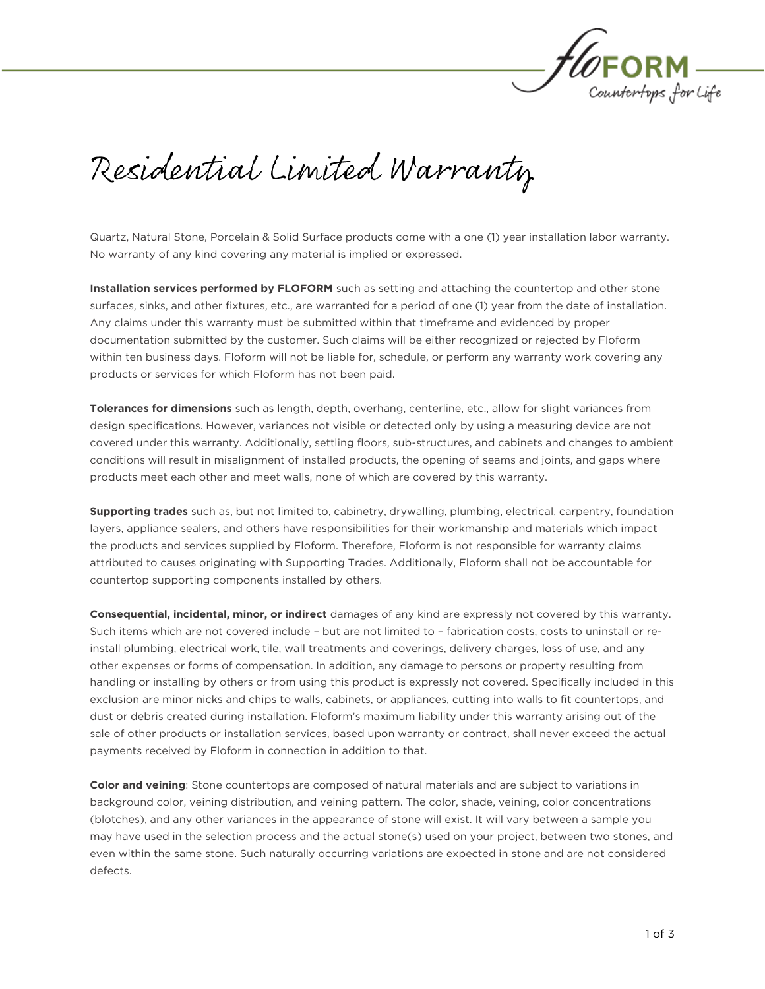

Residential Limited Warranty

Quartz, Natural Stone, Porcelain & Solid Surface products come with a one (1) year installation labor warranty. No warranty of any kind covering any material is implied or expressed.

**Installation services performed by FLOFORM** such as setting and attaching the countertop and other stone surfaces, sinks, and other fixtures, etc., are warranted for a period of one (1) year from the date of installation. Any claims under this warranty must be submitted within that timeframe and evidenced by proper documentation submitted by the customer. Such claims will be either recognized or rejected by Floform documentation submitted by the customer. Such claims will be either recognized or rejected by Floform within ten business days. Florom will not be liable for, schedule, or perform any warranty work covering any products or services for which Floform has not been paid.

**Tolerances for dimensions** such as length, depth, overhang, centerline, etc., allow for slight variances from<br>design specifications. However, variances not visible or detected only by using a measuring device are not covered under this warranty. Additionally, settling floors, sub-structures, and cabinets and changes to ambient conditions will result in misalignment of installed products, the opening of seams and joints, and gaps where products meet each other and meet walls, none of which are covered by this warranty. products meet each other and meet walls, none of which are covered by this warranty.

**Supporting trades** such as, but not limited to, cabinetry, drywalling, plumbing, electrical, carpentry, foundation<br>layers, appliance sealers, and others have responsibilities for their workmanship and materials which impa the products and services supplied by Floform. Therefore, Floform is not responsible for warranty claims the products and services supplied by Floform. Therefore, Floform is not responsible for warranty claims attributed to causes originating with Supporting Trades. Additionally, Floform shall not be accountable for countertop supporting components installed by others.

**Consequential, incidental, minor, or indirect** damages of any kind are expressly not covered by this warranty.<br>Such items which are not covered include - but are not limited to - fabrication costs, costs to uninstall or r install plumbing, electrical work, tile, wall treatments and coverings, delivery charges, loss of use, and any other expenses or forms of compensation. In addition, any damage to persons or property resulting from handling or installing by others or from using this product is expressly not covered. Specifically included in this exclusion are minor nicks and chips to walls, cabinets, or appliances, cutting into walls to fit countertops, and dust or debris created during installation. Floform's maximum liability under this warranty arising out of the dust or debris created during installation. Floform's maximum liability under this warranty arising out of the sale of other products or installation services, based upon warranty or contract, shall never exceed the actual payments received by Floform in connection in addition to that.

**Color and veining**: Stone countertops are composed of natural materials and are subject to variations in background color, veining distribution, and veining pattern. The color, shade, veining, color concentrations (blotches), and any other variances in the appearance of stone will exist. It will vary between a sample you may have used in the selection process and the actual stone(s) used on your project, between two stones, and even within the same stone. Such naturally occurring variations are expected in stone and are not considered even within the same stone. Such naturally occurring variations are expected in stone and are not considered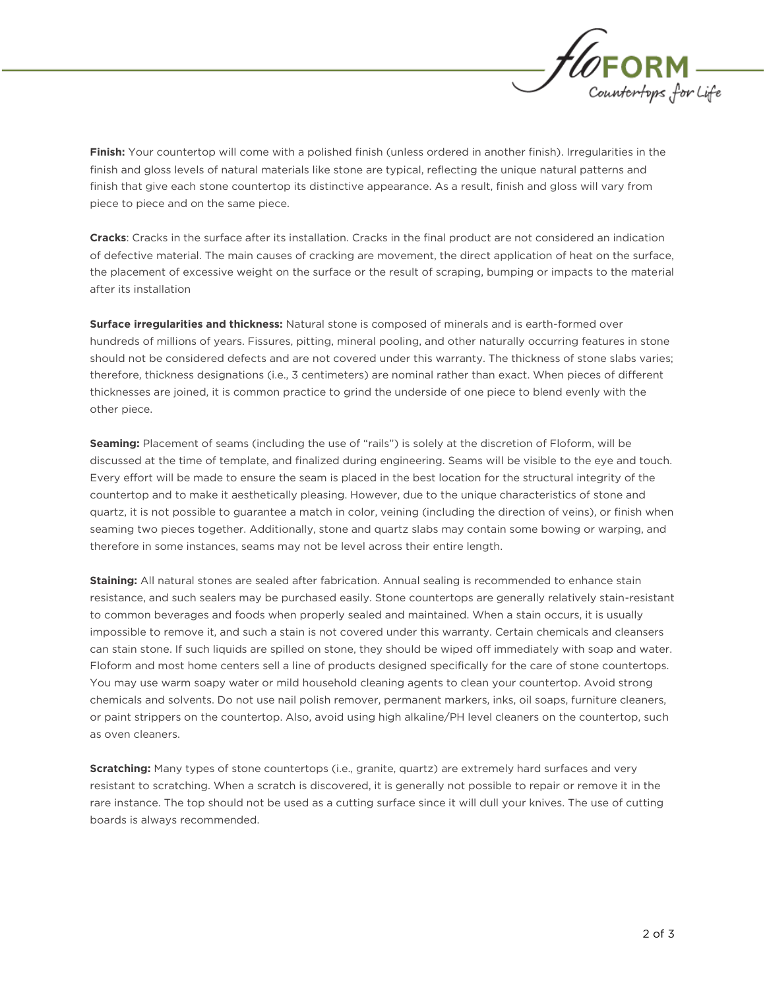

**Finish:** Your countertop will come with a polished finish (unless ordered in another finish). Irregularities in the finish and gloss levels of natural materials like stone are typical, reflecting the unique natural patter finish and gloss levels of natural materials like stone are typical, reflecting the unique natural patterns and finish that give each stone countertop its distinctive appearance. As a result, finish and gloss will vary from piece to piece and on the same piece.

**Cracks**: Cracks in the surface after its installation. Cracks in the final product are not considered an indication of defective material. The main causes of cracking are movement, the direct application of heat on the su of defective material. The main causes of cracking are movement, the direct application of heat on the surface, the placement of excessive weight on the surface or the result of scraping, bumping or impacts to the material

**Surface irregularities and thickness:** Natural stone is composed of minerals and is earth-formed over<br>hundreds of millions of years. Fissures, pitting, mineral pooling, and other naturally occurring features in stone should not be considered defects and are not covered under this warranty. The thickness of stone slabs varies; therefore, thickness designations (i.e., 3 centimeters) are nominal rather than exact. When pieces of different therefore, thickness designations (i.e., 3 centimeters) are nominal rather than exact. When pieces of different thicknesses are joined, it is common practice to grind the underside of one piece to blend evenly with the other piece.

**Seaming:** Placement of seams (including the use of "rails") is solely at the discretion of Floform, will be discussed at the time of template, and finalized during engineering. Seams will be visible to the eye and touch. Every effort will be made to ensure the seam is placed in the best location for the structural integrity of the countertop and to make it aesthetically pleasing. However, due to the unique characteristics of stone and quartz, it is not possible to guarantee a match in color, veining (including the direction of veins), or finish when seaming two pieces together. Additionally, stone and quartz slabs may contain some bowing or warping, and therefore in some instances, seams may not be level across their entire length. therefore in some instances, seams may not be level across their entire length.

**Staining:** All natural stones are sealed after fabrication. Annual sealing is recommended to enhance stain<br>resistance, and such sealers may be purchased easily. Stone countertops are generally relatively stain-resistant to common beverages and foods when properly sealed and maintained. When a stain occurs, it is usually impossible to remove it, and such a stain is not covered under this warranty. Certain chemicals and cleansers can stain stone. If such liquids are spilled on stone, they should be wiped off immediately with soap and water. Floform and most home centers sell a line of products designed specifically for the care of stone countertops. You may use warm soapy water or mild household cleaning agents to clean your countertop. Avoid strong chemicals and solvents. Do not use nail polish remover, permanent markers, inks, oil soaps, furniture cleaners, chemicals and solvents. Do not use nail polish remover, permanent markers, inks, oil soaps, furniture cleaners, or paint strippers on the countertop. Also, avoid using high alkaline/PH level cleaners on the countertop, such

**Scratching:** Many types of stone countertops (i.e., granite, quartz) are extremely hard surfaces and very resistant to scratching. When a scratch is discovered, it is generally not possible to repair or remove it in the resistant to scratching. When a scratch is discovered, it is generally not possible to repair or remove it in the rare instance. The top should not be used as a cutting surface since it will dull your knives. The use of cutting boards is always recommended.